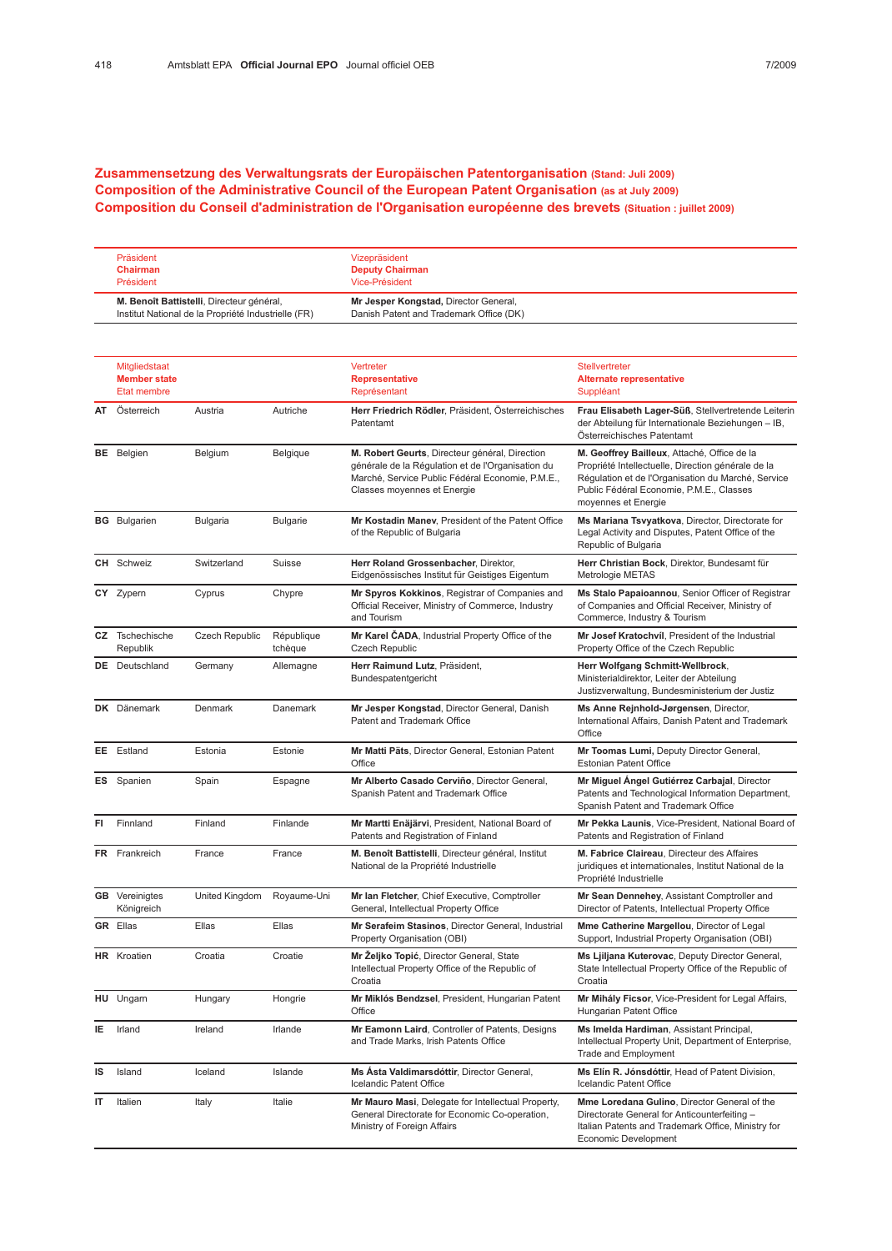## Zusammensetzung des Verwaltungsrats der Europäischen Patentorganisation (Stand: Juli 2009) Composition of the Administrative Council of the European Patent Organisation (as at July 2009) Composition du Conseil d'administration de l'Organisation européenne des brevets (Situation : juillet 2009)

| Präsident                                           | Vizepräsident                           |
|-----------------------------------------------------|-----------------------------------------|
| <b>Chairman</b>                                     | <b>Deputy Chairman</b>                  |
| Président                                           | Vice-Président                          |
| M. Benoît Battistelli, Directeur général,           | Mr Jesper Kongstad, Director General,   |
| Institut National de la Propriété Industrielle (FR) | Danish Patent and Trademark Office (DK) |

|    | Mitgliedstaat<br><b>Member state</b><br>Etat membre |                       |                       | Vertreter<br><b>Representative</b><br>Représentant                                                                                                                                     | Stellvertreter<br><b>Alternate representative</b><br>Suppléant                                                                                                                                                             |
|----|-----------------------------------------------------|-----------------------|-----------------------|----------------------------------------------------------------------------------------------------------------------------------------------------------------------------------------|----------------------------------------------------------------------------------------------------------------------------------------------------------------------------------------------------------------------------|
| AT | Österreich                                          | Austria               | Autriche              | Herr Friedrich Rödler, Präsident, Österreichisches<br>Patentamt                                                                                                                        | Frau Elisabeth Lager-Süß, Stellvertretende Leiterin<br>der Abteilung für Internationale Beziehungen - IB,<br>Österreichisches Patentamt                                                                                    |
|    | <b>BE</b> Belgien                                   | Belgium               | Belgique              | M. Robert Geurts, Directeur général, Direction<br>générale de la Régulation et de l'Organisation du<br>Marché, Service Public Fédéral Economie, P.M.E.,<br>Classes moyennes et Energie | M. Geoffrey Bailleux, Attaché, Office de la<br>Propriété Intellectuelle, Direction générale de la<br>Régulation et de l'Organisation du Marché, Service<br>Public Fédéral Economie, P.M.E., Classes<br>moyennes et Energie |
|    | <b>BG</b> Bulgarien                                 | <b>Bulgaria</b>       | <b>Bulgarie</b>       | Mr Kostadin Maney. President of the Patent Office<br>of the Republic of Bulgaria                                                                                                       | Ms Mariana Tsvyatkova, Director, Directorate for<br>Legal Activity and Disputes, Patent Office of the<br>Republic of Bulgaria                                                                                              |
|    | <b>CH</b> Schweiz                                   | Switzerland           | Suisse                | Herr Roland Grossenbacher, Direktor,<br>Eidgenössisches Institut für Geistiges Eigentum                                                                                                | Herr Christian Bock, Direktor, Bundesamt für<br>Metrologie METAS                                                                                                                                                           |
|    | CY Zypern                                           | Cyprus                | Chypre                | Mr Spyros Kokkinos, Registrar of Companies and<br>Official Receiver, Ministry of Commerce, Industry<br>and Tourism                                                                     | Ms Stalo Papaioannou, Senior Officer of Registrar<br>of Companies and Official Receiver, Ministry of<br>Commerce, Industry & Tourism                                                                                       |
|    | CZ Tschechische<br>Republik                         | <b>Czech Republic</b> | République<br>tchèque | Mr Karel ČADA, Industrial Property Office of the<br><b>Czech Republic</b>                                                                                                              | Mr Josef Kratochvíl, President of the Industrial<br>Property Office of the Czech Republic                                                                                                                                  |
|    | <b>DE</b> Deutschland                               | Germany               | Allemagne             | Herr Raimund Lutz, Präsident,<br>Bundespatentgericht                                                                                                                                   | Herr Wolfgang Schmitt-Wellbrock,<br>Ministerialdirektor, Leiter der Abteilung<br>Justizverwaltung, Bundesministerium der Justiz                                                                                            |
|    | DK Dänemark                                         | Denmark               | Danemark              | Mr Jesper Kongstad, Director General, Danish<br>Patent and Trademark Office                                                                                                            | Ms Anne Rejnhold-Jørgensen, Director,<br>International Affairs, Danish Patent and Trademark<br>Office                                                                                                                      |
|    | EE Estland                                          | Estonia               | Estonie               | Mr Matti Päts, Director General, Estonian Patent<br>Office                                                                                                                             | Mr Toomas Lumi, Deputy Director General,<br><b>Estonian Patent Office</b>                                                                                                                                                  |
|    | <b>ES</b> Spanien                                   | Spain                 | Espagne               | Mr Alberto Casado Cerviño, Director General,<br>Spanish Patent and Trademark Office                                                                                                    | Mr Miguel Angel Gutiérrez Carbajal, Director<br>Patents and Technological Information Department,<br>Spanish Patent and Trademark Office                                                                                   |
| FI | Finnland                                            | Finland               | Finlande              | Mr Martti Enäjärvi, President, National Board of<br>Patents and Registration of Finland                                                                                                | Mr Pekka Launis, Vice-President, National Board of<br>Patents and Registration of Finland                                                                                                                                  |
|    | FR Frankreich                                       | France                | France                | M. Benoît Battistelli, Directeur général, Institut<br>National de la Propriété Industrielle                                                                                            | M. Fabrice Claireau, Directeur des Affaires<br>juridiques et internationales, Institut National de la<br>Propriété Industrielle                                                                                            |
|    | <b>GB</b> Vereinigtes<br>Königreich                 | United Kingdom        | Royaume-Uni           | Mr Ian Fletcher, Chief Executive, Comptroller<br>General, Intellectual Property Office                                                                                                 | Mr Sean Dennehey, Assistant Comptroller and<br>Director of Patents, Intellectual Property Office                                                                                                                           |
|    | <b>GR</b> Ellas                                     | Ellas                 | Ellas                 | Mr Serafeim Stasinos, Director General, Industrial<br>Property Organisation (OBI)                                                                                                      | Mme Catherine Margellou, Director of Legal<br>Support, Industrial Property Organisation (OBI)                                                                                                                              |
|    | HR Kroatien                                         | Croatia               | Croatie               | Mr Żeljko Topić, Director General, State<br>Intellectual Property Office of the Republic of<br>Croatia                                                                                 | Ms Ljiljana Kuterovac, Deputy Director General,<br>State Intellectual Property Office of the Republic of<br>Croatia                                                                                                        |
|    | HU Ungarn                                           | Hungary               | Hongrie               | Mr Miklós Bendzsel, President, Hungarian Patent<br>Office                                                                                                                              | Mr Mihály Ficsor, Vice-President for Legal Affairs,<br>Hungarian Patent Office                                                                                                                                             |
| IΕ | Irland                                              | Ireland               | Irlande               | Mr Eamonn Laird, Controller of Patents, Designs<br>and Trade Marks, Irish Patents Office                                                                                               | Ms Imelda Hardiman, Assistant Principal,<br>Intellectual Property Unit, Department of Enterprise,<br>Trade and Employment                                                                                                  |
| IS | Island                                              | Iceland               | Islande               | Ms Asta Valdimarsdóttir, Director General,<br>Icelandic Patent Office                                                                                                                  | Ms Elín R. Jónsdóttir, Head of Patent Division,<br>Icelandic Patent Office                                                                                                                                                 |
| IT | Italien                                             | Italy                 | Italie                | Mr Mauro Masi, Delegate for Intellectual Property,<br>General Directorate for Economic Co-operation,<br>Ministry of Foreign Affairs                                                    | Mme Loredana Gulino, Director General of the<br>Directorate General for Anticounterfeiting -<br>Italian Patents and Trademark Office, Ministry for<br>Economic Development                                                 |